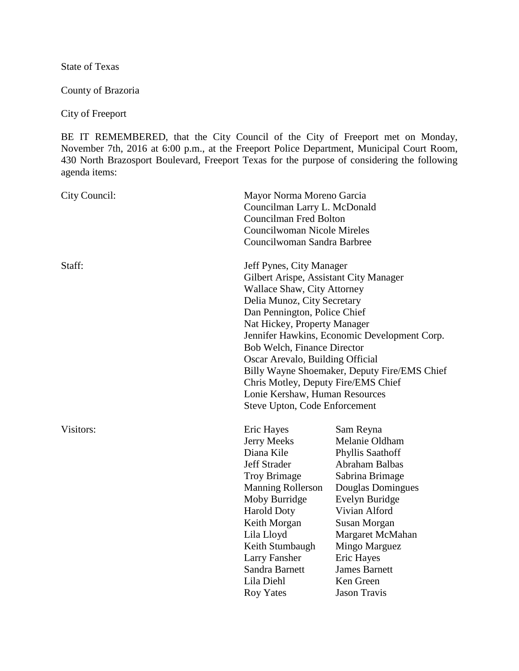State of Texas

County of Brazoria

City of Freeport

BE IT REMEMBERED, that the City Council of the City of Freeport met on Monday, November 7th, 2016 at 6:00 p.m., at the Freeport Police Department, Municipal Court Room, 430 North Brazosport Boulevard, Freeport Texas for the purpose of considering the following agenda items:

| City Council: | Mayor Norma Moreno Garcia<br>Councilman Larry L. McDonald<br><b>Councilman Fred Bolton</b><br><b>Councilwoman Nicole Mireles</b><br>Councilwoman Sandra Barbree                                                                                                                                                                                                                                                                                                                      |                                                                                                                                                                                                                                                                             |
|---------------|--------------------------------------------------------------------------------------------------------------------------------------------------------------------------------------------------------------------------------------------------------------------------------------------------------------------------------------------------------------------------------------------------------------------------------------------------------------------------------------|-----------------------------------------------------------------------------------------------------------------------------------------------------------------------------------------------------------------------------------------------------------------------------|
| Staff:        | Jeff Pynes, City Manager<br>Gilbert Arispe, Assistant City Manager<br><b>Wallace Shaw, City Attorney</b><br>Delia Munoz, City Secretary<br>Dan Pennington, Police Chief<br>Nat Hickey, Property Manager<br>Jennifer Hawkins, Economic Development Corp.<br>Bob Welch, Finance Director<br>Oscar Arevalo, Building Official<br>Billy Wayne Shoemaker, Deputy Fire/EMS Chief<br>Chris Motley, Deputy Fire/EMS Chief<br>Lonie Kershaw, Human Resources<br>Steve Upton, Code Enforcement |                                                                                                                                                                                                                                                                             |
| Visitors:     | Eric Hayes<br>Jerry Meeks<br>Diana Kile<br><b>Jeff Strader</b><br><b>Troy Brimage</b><br><b>Manning Rollerson</b><br>Moby Burridge<br><b>Harold Doty</b><br>Keith Morgan<br>Lila Lloyd<br>Keith Stumbaugh<br><b>Larry Fansher</b><br>Sandra Barnett<br>Lila Diehl<br><b>Roy Yates</b>                                                                                                                                                                                                | Sam Reyna<br>Melanie Oldham<br>Phyllis Saathoff<br>Abraham Balbas<br>Sabrina Brimage<br>Douglas Domingues<br>Evelyn Buridge<br>Vivian Alford<br>Susan Morgan<br>Margaret McMahan<br>Mingo Marguez<br>Eric Hayes<br><b>James Barnett</b><br>Ken Green<br><b>Jason Travis</b> |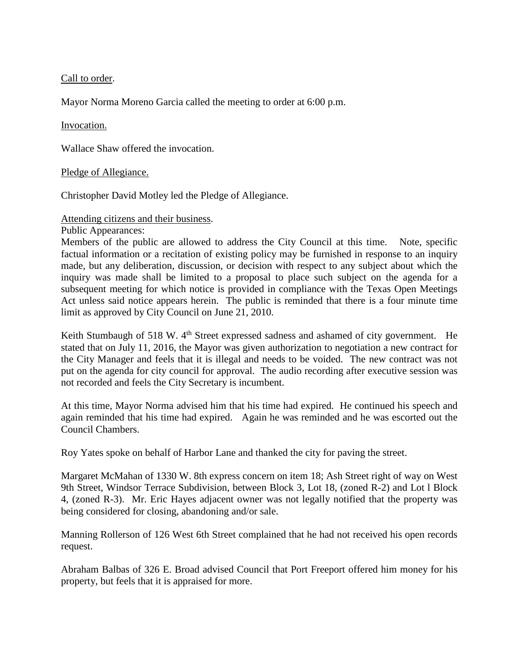Call to order.

Mayor Norma Moreno Garcia called the meeting to order at 6:00 p.m.

### Invocation.

Wallace Shaw offered the invocation.

### Pledge of Allegiance.

Christopher David Motley led the Pledge of Allegiance.

### Attending citizens and their business.

Public Appearances:

Members of the public are allowed to address the City Council at this time. Note, specific factual information or a recitation of existing policy may be furnished in response to an inquiry made, but any deliberation, discussion, or decision with respect to any subject about which the inquiry was made shall be limited to a proposal to place such subject on the agenda for a subsequent meeting for which notice is provided in compliance with the Texas Open Meetings Act unless said notice appears herein. The public is reminded that there is a four minute time limit as approved by City Council on June 21, 2010.

Keith Stumbaugh of 518 W. 4<sup>th</sup> Street expressed sadness and ashamed of city government. He stated that on July 11, 2016, the Mayor was given authorization to negotiation a new contract for the City Manager and feels that it is illegal and needs to be voided. The new contract was not put on the agenda for city council for approval. The audio recording after executive session was not recorded and feels the City Secretary is incumbent.

At this time, Mayor Norma advised him that his time had expired. He continued his speech and again reminded that his time had expired. Again he was reminded and he was escorted out the Council Chambers.

Roy Yates spoke on behalf of Harbor Lane and thanked the city for paving the street.

Margaret McMahan of 1330 W. 8th express concern on item 18; Ash Street right of way on West 9th Street, Windsor Terrace Subdivision, between Block 3, Lot 18, (zoned R-2) and Lot l Block 4, (zoned R-3). Mr. Eric Hayes adjacent owner was not legally notified that the property was being considered for closing, abandoning and/or sale.

Manning Rollerson of 126 West 6th Street complained that he had not received his open records request.

Abraham Balbas of 326 E. Broad advised Council that Port Freeport offered him money for his property, but feels that it is appraised for more.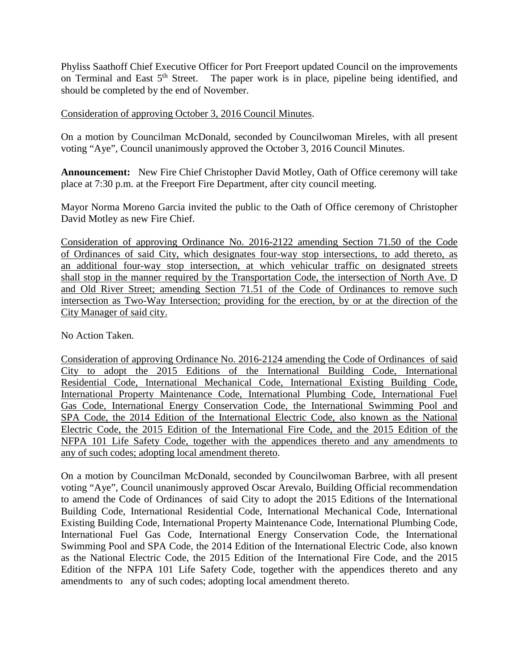Phyliss Saathoff Chief Executive Officer for Port Freeport updated Council on the improvements on Terminal and East  $5<sup>th</sup>$  Street. The paper work is in place, pipeline being identified, and should be completed by the end of November.

### Consideration of approving October 3, 2016 Council Minutes.

On a motion by Councilman McDonald, seconded by Councilwoman Mireles, with all present voting "Aye", Council unanimously approved the October 3, 2016 Council Minutes.

**Announcement:** New Fire Chief Christopher David Motley, Oath of Office ceremony will take place at 7:30 p.m. at the Freeport Fire Department, after city council meeting.

Mayor Norma Moreno Garcia invited the public to the Oath of Office ceremony of Christopher David Motley as new Fire Chief.

Consideration of approving Ordinance No. 2016-2122 amending Section 71.50 of the Code of Ordinances of said City, which designates four-way stop intersections, to add thereto, as an additional four-way stop intersection, at which vehicular traffic on designated streets shall stop in the manner required by the Transportation Code, the intersection of North Ave. D and Old River Street; amending Section 71.51 of the Code of Ordinances to remove such intersection as Two-Way Intersection; providing for the erection, by or at the direction of the City Manager of said city.

No Action Taken.

Consideration of approving Ordinance No. 2016-2124 amending the Code of Ordinances of said City to adopt the 2015 Editions of the International Building Code, International Residential Code, International Mechanical Code, International Existing Building Code, International Property Maintenance Code, International Plumbing Code, International Fuel Gas Code, International Energy Conservation Code, the International Swimming Pool and SPA Code, the 2014 Edition of the International Electric Code, also known as the National Electric Code, the 2015 Edition of the International Fire Code, and the 2015 Edition of the NFPA 101 Life Safety Code, together with the appendices thereto and any amendments to any of such codes; adopting local amendment thereto.

On a motion by Councilman McDonald, seconded by Councilwoman Barbree, with all present voting "Aye", Council unanimously approved Oscar Arevalo, Building Official recommendation to amend the Code of Ordinances of said City to adopt the 2015 Editions of the International Building Code, International Residential Code, International Mechanical Code, International Existing Building Code, International Property Maintenance Code, International Plumbing Code, International Fuel Gas Code, International Energy Conservation Code, the International Swimming Pool and SPA Code, the 2014 Edition of the International Electric Code, also known as the National Electric Code, the 2015 Edition of the International Fire Code, and the 2015 Edition of the NFPA 101 Life Safety Code, together with the appendices thereto and any amendments to any of such codes; adopting local amendment thereto.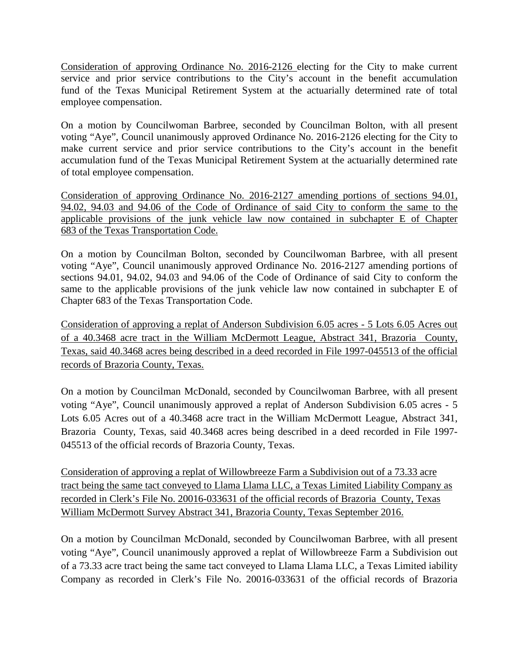Consideration of approving Ordinance No. 2016-2126 electing for the City to make current service and prior service contributions to the City's account in the benefit accumulation fund of the Texas Municipal Retirement System at the actuarially determined rate of total employee compensation.

On a motion by Councilwoman Barbree, seconded by Councilman Bolton, with all present voting "Aye", Council unanimously approved Ordinance No. 2016-2126 electing for the City to make current service and prior service contributions to the City's account in the benefit accumulation fund of the Texas Municipal Retirement System at the actuarially determined rate of total employee compensation.

Consideration of approving Ordinance No. 2016-2127 amending portions of sections 94.01, 94.02, 94.03 and 94.06 of the Code of Ordinance of said City to conform the same to the applicable provisions of the junk vehicle law now contained in subchapter E of Chapter 683 of the Texas Transportation Code.

On a motion by Councilman Bolton, seconded by Councilwoman Barbree, with all present voting "Aye", Council unanimously approved Ordinance No. 2016-2127 amending portions of sections 94.01, 94.02, 94.03 and 94.06 of the Code of Ordinance of said City to conform the same to the applicable provisions of the junk vehicle law now contained in subchapter E of Chapter 683 of the Texas Transportation Code.

Consideration of approving a replat of Anderson Subdivision 6.05 acres - 5 Lots 6.05 Acres out of a 40.3468 acre tract in the William McDermott League, Abstract 341, Brazoria County, Texas, said 40.3468 acres being described in a deed recorded in File 1997-045513 of the official records of Brazoria County, Texas.

On a motion by Councilman McDonald, seconded by Councilwoman Barbree, with all present voting "Aye", Council unanimously approved a replat of Anderson Subdivision 6.05 acres - 5 Lots 6.05 Acres out of a 40.3468 acre tract in the William McDermott League, Abstract 341, Brazoria County, Texas, said 40.3468 acres being described in a deed recorded in File 1997- 045513 of the official records of Brazoria County, Texas.

Consideration of approving a replat of Willowbreeze Farm a Subdivision out of a 73.33 acre tract being the same tact conveyed to Llama Llama LLC, a Texas Limited Liability Company as recorded in Clerk's File No. 20016-033631 of the official records of Brazoria County, Texas William McDermott Survey Abstract 341, Brazoria County, Texas September 2016.

On a motion by Councilman McDonald, seconded by Councilwoman Barbree, with all present voting "Aye", Council unanimously approved a replat of Willowbreeze Farm a Subdivision out of a 73.33 acre tract being the same tact conveyed to Llama Llama LLC, a Texas Limited iability Company as recorded in Clerk's File No. 20016-033631 of the official records of Brazoria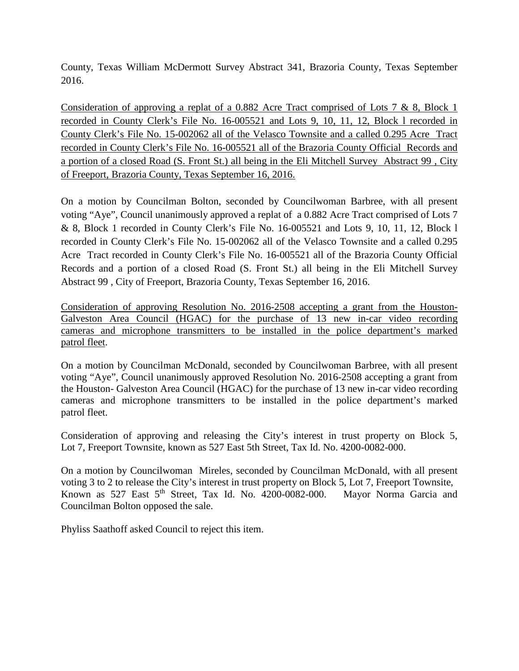County, Texas William McDermott Survey Abstract 341, Brazoria County, Texas September 2016.

Consideration of approving a replat of a 0.882 Acre Tract comprised of Lots 7 & 8, Block 1 recorded in County Clerk's File No. 16-005521 and Lots 9, 10, 11, 12, Block l recorded in County Clerk's File No. 15-002062 all of the Velasco Townsite and a called 0.295 Acre Tract recorded in County Clerk's File No. 16-005521 all of the Brazoria County Official Records and a portion of a closed Road (S. Front St.) all being in the Eli Mitchell Survey Abstract 99 , City of Freeport, Brazoria County, Texas September 16, 2016.

On a motion by Councilman Bolton, seconded by Councilwoman Barbree, with all present voting "Aye", Council unanimously approved a replat of a 0.882 Acre Tract comprised of Lots 7 & 8, Block 1 recorded in County Clerk's File No. 16-005521 and Lots 9, 10, 11, 12, Block l recorded in County Clerk's File No. 15-002062 all of the Velasco Townsite and a called 0.295 Acre Tract recorded in County Clerk's File No. 16-005521 all of the Brazoria County Official Records and a portion of a closed Road (S. Front St.) all being in the Eli Mitchell Survey Abstract 99 , City of Freeport, Brazoria County, Texas September 16, 2016.

Consideration of approving Resolution No. 2016-2508 accepting a grant from the Houston-Galveston Area Council (HGAC) for the purchase of 13 new in-car video recording cameras and microphone transmitters to be installed in the police department's marked patrol fleet.

On a motion by Councilman McDonald, seconded by Councilwoman Barbree, with all present voting "Aye", Council unanimously approved Resolution No. 2016-2508 accepting a grant from the Houston- Galveston Area Council (HGAC) for the purchase of 13 new in-car video recording cameras and microphone transmitters to be installed in the police department's marked patrol fleet.

Consideration of approving and releasing the City's interest in trust property on Block 5, Lot 7, Freeport Townsite, known as 527 East 5th Street, Tax Id. No. 4200-0082-000.

On a motion by Councilwoman Mireles, seconded by Councilman McDonald, with all present voting 3 to 2 to release the City's interest in trust property on Block 5, Lot 7, Freeport Townsite, Known as 527 East 5th Street, Tax Id. No. 4200-0082-000. Mayor Norma Garcia and Councilman Bolton opposed the sale.

Phyliss Saathoff asked Council to reject this item.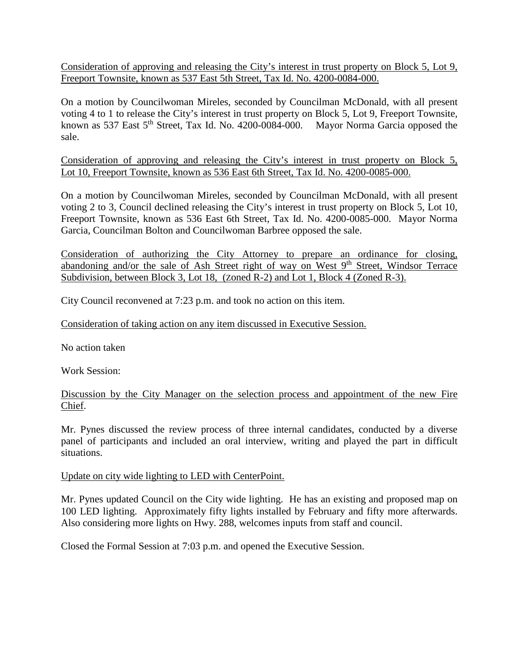Consideration of approving and releasing the City's interest in trust property on Block 5, Lot 9, Freeport Townsite, known as 537 East 5th Street, Tax Id. No. 4200-0084-000.

On a motion by Councilwoman Mireles, seconded by Councilman McDonald, with all present voting 4 to 1 to release the City's interest in trust property on Block 5, Lot 9, Freeport Townsite, known as 537 East 5<sup>th</sup> Street, Tax Id. No. 4200-0084-000. Mayor Norma Garcia opposed the sale.

Consideration of approving and releasing the City's interest in trust property on Block 5, Lot 10, Freeport Townsite, known as 536 East 6th Street, Tax Id. No. 4200-0085-000.

On a motion by Councilwoman Mireles, seconded by Councilman McDonald, with all present voting 2 to 3, Council declined releasing the City's interest in trust property on Block 5, Lot 10, Freeport Townsite, known as 536 East 6th Street, Tax Id. No. 4200-0085-000. Mayor Norma Garcia, Councilman Bolton and Councilwoman Barbree opposed the sale.

Consideration of authorizing the City Attorney to prepare an ordinance for closing, abandoning and/or the sale of Ash Street right of way on West 9<sup>th</sup> Street, Windsor Terrace Subdivision, between Block 3, Lot 18, (Zoned R-2) and Lot 1, Block 4 (Zoned R-3).

City Council reconvened at 7:23 p.m. and took no action on this item.

Consideration of taking action on any item discussed in Executive Session.

No action taken

Work Session:

Discussion by the City Manager on the selection process and appointment of the new Fire Chief.

Mr. Pynes discussed the review process of three internal candidates, conducted by a diverse panel of participants and included an oral interview, writing and played the part in difficult situations.

Update on city wide lighting to LED with CenterPoint.

Mr. Pynes updated Council on the City wide lighting. He has an existing and proposed map on 100 LED lighting. Approximately fifty lights installed by February and fifty more afterwards. Also considering more lights on Hwy. 288, welcomes inputs from staff and council.

Closed the Formal Session at 7:03 p.m. and opened the Executive Session.